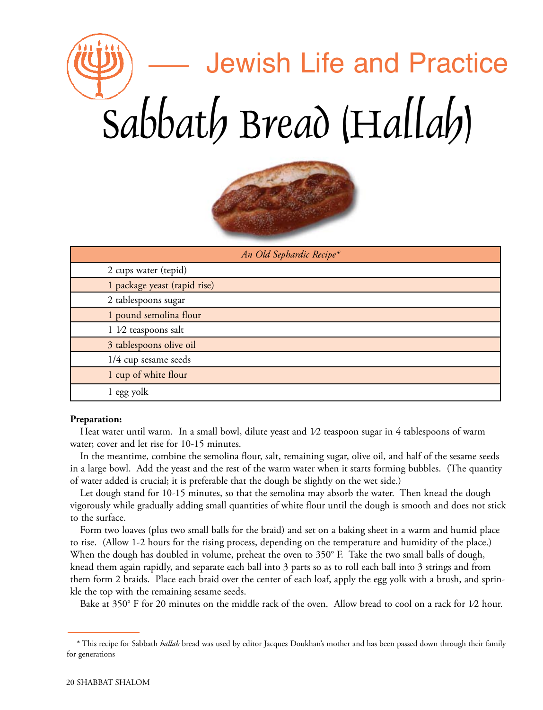## Jewish Life and Practice Sabbath Bread (Hallah)



| An Old Sephardic Recipe*     |  |
|------------------------------|--|
| 2 cups water (tepid)         |  |
| 1 package yeast (rapid rise) |  |
| 2 tablespoons sugar          |  |
| 1 pound semolina flour       |  |
| 1 1/2 teaspoons salt         |  |
| 3 tablespoons olive oil      |  |
| 1/4 cup sesame seeds         |  |
| 1 cup of white flour         |  |
| 1 egg yolk                   |  |

## **Preparation:**

Heat water until warm. In a small bowl, dilute yeast and  $1/2$  teaspoon sugar in 4 tablespoons of warm water; cover and let rise for 10-15 minutes.

In the meantime, combine the semolina flour, salt, remaining sugar, olive oil, and half of the sesame seeds in a large bowl. Add the yeast and the rest of the warm water when it starts forming bubbles. (The quantity of water added is crucial; it is preferable that the dough be slightly on the wet side.)

Let dough stand for 10-15 minutes, so that the semolina may absorb the water. Then knead the dough vigorously while gradually adding small quantities of white flour until the dough is smooth and does not stick to the surface.

Form two loaves (plus two small balls for the braid) and set on a baking sheet in a warm and humid place to rise. (Allow 1-2 hours for the rising process, depending on the temperature and humidity of the place.) When the dough has doubled in volume, preheat the oven to 350° F. Take the two small balls of dough, knead them again rapidly, and separate each ball into 3 parts so as to roll each ball into 3 strings and from them form 2 braids. Place each braid over the center of each loaf, apply the egg yolk with a brush, and sprinkle the top with the remaining sesame seeds.

Bake at 350° F for 20 minutes on the middle rack of the oven. Allow bread to cool on a rack for 1⁄2 hour.

<sup>\*</sup> This recipe for Sabbath *hallah* bread was used by editor Jacques Doukhan's mother and has been passed down through their family for generations